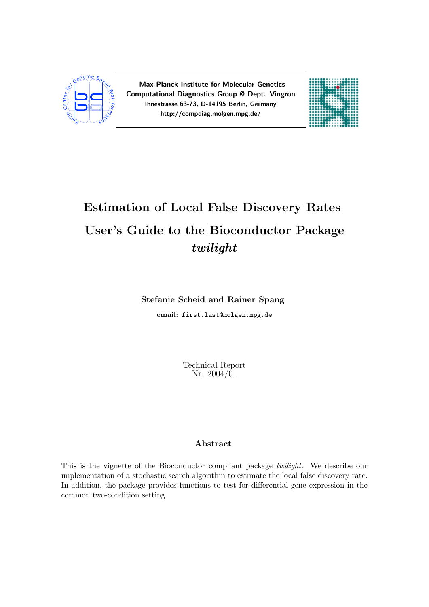

Max Planck Institute for Molecular Genetics Computational Diagnostics Group @ Dept. Vingron Ihnestrasse 63-73, D-14195 Berlin, Germany http://compdiag.molgen.mpg.de/



# Estimation of Local False Discovery Rates User's Guide to the Bioconductor Package twilight

### Stefanie Scheid and Rainer Spang

email: first.last@molgen.mpg.de

Technical Report Nr. 2004/01

### Abstract

This is the vignette of the Bioconductor compliant package twilight. We describe our implementation of a stochastic search algorithm to estimate the local false discovery rate. In addition, the package provides functions to test for differential gene expression in the common two-condition setting.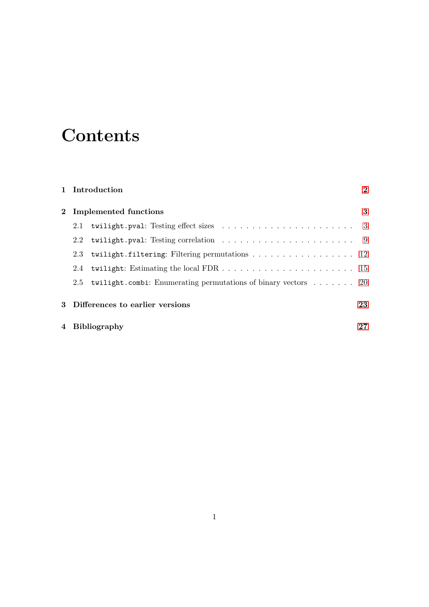# **Contents**

|                  | 1 Introduction                                                                         | $\bf{2}$ |
|------------------|----------------------------------------------------------------------------------------|----------|
|                  | 2 Implemented functions                                                                | 3        |
| 2.1              | twilight.pval: Testing effect sizes $\ldots \ldots \ldots \ldots \ldots \ldots \ldots$ |          |
| $2.2\phantom{0}$ | twilight.pval: Testing correlation $\ldots \ldots \ldots \ldots \ldots \ldots$         |          |
| 2.3              | twilight.filtering: Filtering permutations 12                                          |          |
|                  |                                                                                        |          |
| 2.5              | <b>twilight.combi:</b> Enumerating permutations of binary vectors $\dots \dots$ 20     |          |
|                  | 3 Differences to earlier versions                                                      | 23       |
|                  | 4 Bibliography                                                                         | 27       |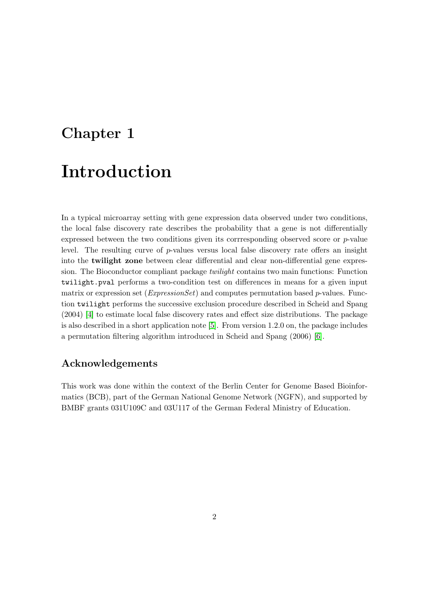# <span id="page-2-0"></span>Chapter 1 Introduction

In a typical microarray setting with gene expression data observed under two conditions, the local false discovery rate describes the probability that a gene is not differentially expressed between the two conditions given its corrresponding observed score or  $p$ -value level. The resulting curve of  $p$ -values versus local false discovery rate offers an insight into the twilight zone between clear differential and clear non-differential gene expression. The Bioconductor compliant package twilight contains two main functions: Function twilight.pval performs a two-condition test on differences in means for a given input matrix or expression set ( $ExpressionSet$ ) and computes permutation based p-values. Function twilight performs the successive exclusion procedure described in Scheid and Spang (2004) [\[4\]](#page-27-1) to estimate local false discovery rates and effect size distributions. The package is also described in a short application note [\[5\]](#page-27-2). From version 1.2.0 on, the package includes a permutation filtering algorithm introduced in Scheid and Spang (2006) [\[6\]](#page-27-3).

### Acknowledgements

This work was done within the context of the Berlin Center for Genome Based Bioinformatics (BCB), part of the German National Genome Network (NGFN), and supported by BMBF grants 031U109C and 03U117 of the German Federal Ministry of Education.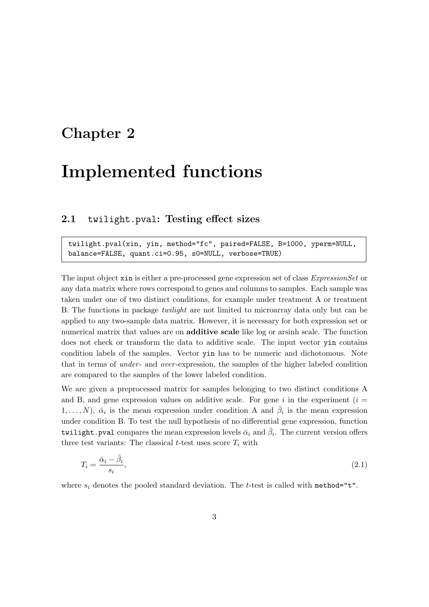### <span id="page-3-0"></span>Chapter 2

## Implemented functions

### <span id="page-3-1"></span>2.1 twilight.pval: Testing effect sizes

twilight.pval(xin, yin, method="fc", paired=FALSE, B=1000, yperm=NULL, balance=FALSE, quant.ci=0.95, s0=NULL, verbose=TRUE)

The input object xin is either a pre-processed gene expression set of class *ExpressionSet* or any data matrix where rows correspond to genes and columns to samples. Each sample was taken under one of two distinct conditions, for example under treatment A or treatment B. The functions in package twilight are not limited to microarray data only but can be applied to any two-sample data matrix. However, it is necessary for both expression set or numerical matrix that values are on **additive scale** like log or arsinh scale. The function does not check or transform the data to additive scale. The input vector yin contains condition labels of the samples. Vector yin has to be numeric and dichotomous. Note that in terms of *under*- and *over*-expression, the samples of the higher labeled condition are compared to the samples of the lower labeled condition.

We are given a preprocessed matrix for samples belonging to two distinct conditions A and B, and gene expression values on additive scale. For gene i in the experiment  $(i =$  $1, \ldots, N$ ,  $\bar{\alpha}_i$  is the mean expression under condition A and  $\bar{\beta}_i$  is the mean expression under condition B. To test the null hypothesis of no differential gene expression, function twilight.pval compares the mean expression levels  $\bar{\alpha}_i$  and  $\bar{\beta}_i$ . The current version offers three test variants: The classical t-test uses score  $T_i$  with

$$
T_i = \frac{\bar{\alpha}_i - \bar{\beta}_i}{s_i},\tag{2.1}
$$

where  $s_i$  denotes the pooled standard deviation. The t-test is called with method="t".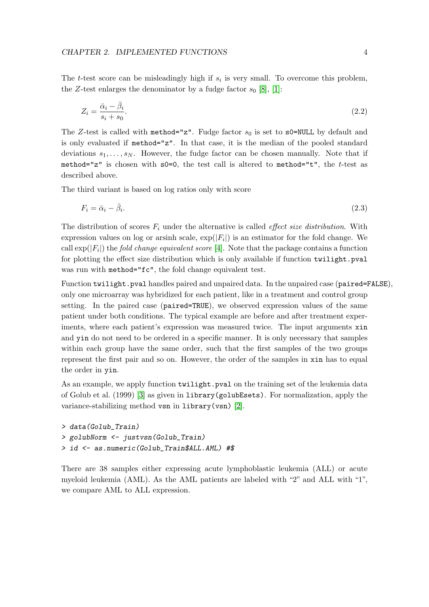The *t*-test score can be misleadingly high if  $s_i$  is very small. To overcome this problem, the Z-test enlarges the denominator by a fudge factor  $s_0$  [\[8\]](#page-28-0), [\[1\]](#page-27-4):

$$
Z_i = \frac{\bar{\alpha}_i - \bar{\beta}_i}{s_i + s_0}.\tag{2.2}
$$

The Z-test is called with method="z". Fudge factor  $s_0$  is set to s0=NULL by default and is only evaluated if method="z". In that case, it is the median of the pooled standard deviations  $s_1, \ldots, s_N$ . However, the fudge factor can be chosen manually. Note that if method="z" is chosen with  $s0=0$ , the test call is altered to method="t", the t-test as described above.

The third variant is based on log ratios only with score

$$
F_i = \bar{\alpha}_i - \bar{\beta}_i. \tag{2.3}
$$

The distribution of scores  $F_i$  under the alternative is called *effect size distribution*. With expression values on log or arsinh scale,  $\exp(|F_i|)$  is an estimator for the fold change. We call  $\exp(|F_i|)$  the *fold change equivalent score* [\[4\]](#page-27-1). Note that the package contains a function for plotting the effect size distribution which is only available if function twilight.pval was run with method="fc", the fold change equivalent test.

Function twilight.pval handles paired and unpaired data. In the unpaired case (paired=FALSE), only one microarray was hybridized for each patient, like in a treatment and control group setting. In the paired case (paired=TRUE), we observed expression values of the same patient under both conditions. The typical example are before and after treatment experiments, where each patient's expression was measured twice. The input arguments xin and yin do not need to be ordered in a specific manner. It is only necessary that samples within each group have the same order, such that the first samples of the two groups represent the first pair and so on. However, the order of the samples in xin has to equal the order in yin.

As an example, we apply function twilight.pval on the training set of the leukemia data of Golub et al. (1999) [\[3\]](#page-27-5) as given in library(golubEsets). For normalization, apply the variance-stabilizing method vsn in library(vsn) [\[2\]](#page-27-6).

```
> data(Golub_Train)
> golubNorm <- justvsn(Golub_Train)
> id <- as.numeric(Golub_Train$ALL.AML) #$
```
There are 38 samples either expressing acute lymphoblastic leukemia (ALL) or acute myeloid leukemia (AML). As the AML patients are labeled with "2" and ALL with "1", we compare AML to ALL expression.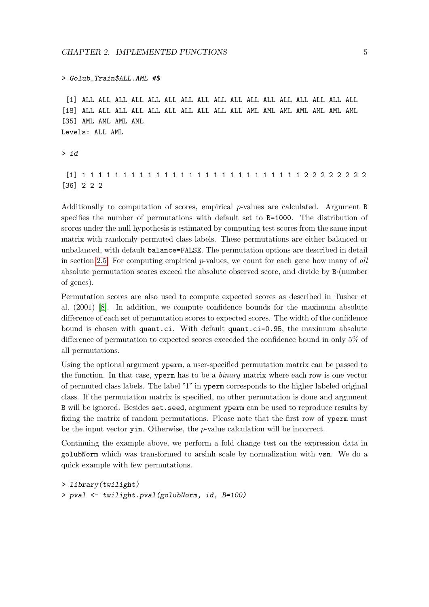#### > Golub\_Train\$ALL.AML #\$

[1] ALL ALL ALL ALL ALL ALL ALL ALL ALL ALL ALL ALL ALL ALL ALL ALL ALL [18] ALL ALL ALL ALL ALL ALL ALL ALL ALL ALL AML AML AML AML AML AML AML [35] AML AML AML AML Levels: ALL AML

```
> id
```
[1] 1 1 1 1 1 1 1 1 1 1 1 1 1 1 1 1 1 1 1 1 1 1 1 1 1 1 1 2 2 2 2 2 2 2 2 [36] 2 2 2

Additionally to computation of scores, empirical  $p$ -values are calculated. Argument B specifies the number of permutations with default set to B=1000. The distribution of scores under the null hypothesis is estimated by computing test scores from the same input matrix with randomly permuted class labels. These permutations are either balanced or unbalanced, with default balance=FALSE. The permutation options are described in detail in section [2.5.](#page-20-0) For computing empirical  $p$ -values, we count for each gene how many of all absolute permutation scores exceed the absolute observed score, and divide by B·(number of genes).

Permutation scores are also used to compute expected scores as described in Tusher et al. (2001) [\[8\]](#page-28-0). In addition, we compute confidence bounds for the maximum absolute difference of each set of permutation scores to expected scores. The width of the confidence bound is chosen with quant.ci. With default quant.ci=0.95, the maximum absolute difference of permutation to expected scores exceeded the confidence bound in only 5% of all permutations.

Using the optional argument yperm, a user-specified permutation matrix can be passed to the function. In that case, y perm has to be a *binary* matrix where each row is one vector of permuted class labels. The label "1" in yperm corresponds to the higher labeled original class. If the permutation matrix is specified, no other permutation is done and argument B will be ignored. Besides set.seed, argument yperm can be used to reproduce results by fixing the matrix of random permutations. Please note that the first row of yperm must be the input vector yin. Otherwise, the p-value calculation will be incorrect.

Continuing the example above, we perform a fold change test on the expression data in golubNorm which was transformed to arsinh scale by normalization with vsn. We do a quick example with few permutations.

```
> library(twilight)
> pval <- twilight.pval(golubNorm, id, B=100)
```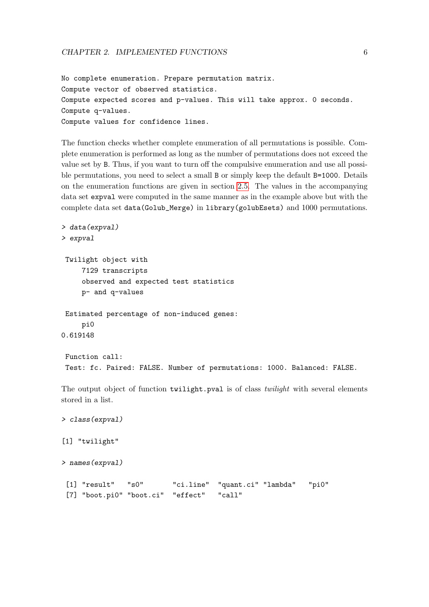```
No complete enumeration. Prepare permutation matrix.
Compute vector of observed statistics.
Compute expected scores and p-values. This will take approx. 0 seconds.
Compute q-values.
Compute values for confidence lines.
```
The function checks whether complete enumeration of all permutations is possible. Complete enumeration is performed as long as the number of permutations does not exceed the value set by B. Thus, if you want to turn off the compulsive enumeration and use all possible permutations, you need to select a small B or simply keep the default B=1000. Details on the enumeration functions are given in section [2.5.](#page-20-0) The values in the accompanying data set expval were computed in the same manner as in the example above but with the complete data set data(Golub\_Merge) in library(golubEsets) and 1000 permutations.

```
> data(expval)
> expval
 Twilight object with
     7129 transcripts
     observed and expected test statistics
     p- and q-values
Estimated percentage of non-induced genes:
     pi0
0.619148
Function call:
Test: fc. Paired: FALSE. Number of permutations: 1000. Balanced: FALSE.
The output object of function twilight.pval is of class twilight with several elements
stored in a list.
```

```
> class(expval)
[1] "twilight"
> names(expval)
 [1] "result" "s0" "ci.line" "quant.ci" "lambda" "pi0"
 [7] "boot.pi0" "boot.ci" "effect" "call"
```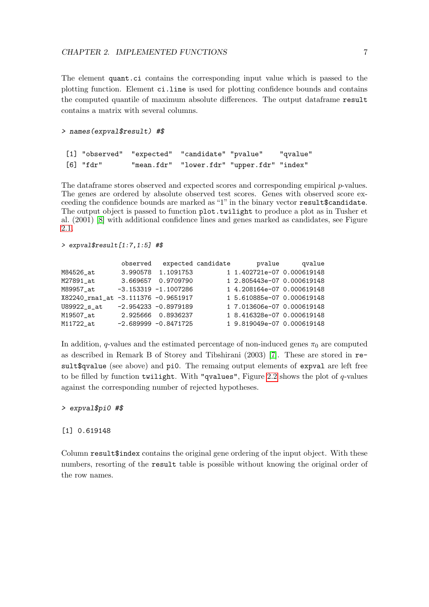The element quant.ci contains the corresponding input value which is passed to the plotting function. Element ci.line is used for plotting confidence bounds and contains the computed quantile of maximum absolute differences. The output dataframe result contains a matrix with several columns.

#### > names(expval\$result) #\$

|           | [1] "observed" "expected" "candidate" "pvalue" | "qvalue" |
|-----------|------------------------------------------------|----------|
| [6] "fdr" | "mean.fdr" "lower.fdr" "upper.fdr" "index"     |          |

The data frame stores observed and expected scores and corresponding empirical  $p$ -values. The genes are ordered by absolute observed test scores. Genes with observed score exceeding the confidence bounds are marked as "1" in the binary vector result\$candidate. The output object is passed to function plot.twilight to produce a plot as in Tusher et al. (2001) [\[8\]](#page-28-0) with additional confidence lines and genes marked as candidates, see Figure [2.1.](#page-8-0)

> expval\$result[1:7,1:5] #\$

|                                     | observed expected candidate |                            | pvalue qvalue |
|-------------------------------------|-----------------------------|----------------------------|---------------|
| M84526 at                           | 3.990578 1.1091753          | 1 1.402721e-07 0.000619148 |               |
| M27891_at                           | 3.669657 0.9709790          | 1 2.805443e-07 0.000619148 |               |
| M89957 at                           | $-3.153319 -1.1007286$      | 1 4.208164e-07 0.000619148 |               |
| X82240_rna1_at -3.111376 -0.9651917 |                             | 1 5.610885e-07 0.000619148 |               |
| U89922_s_at                         | $-2.954233 - 0.8979189$     | 1 7.013606e-07 0.000619148 |               |
| M19507_at                           | 2.925666 0.8936237          | 1 8.416328e-07 0.000619148 |               |
| M11722_at                           | $-2.689999 - 0.8471725$     | 1 9.819049e-07 0.000619148 |               |

In addition, q-values and the estimated percentage of non-induced genes  $\pi_0$  are computed as described in Remark B of Storey and Tibshirani (2003) [\[7\]](#page-27-7). These are stored in result\$qvalue (see above) and pi0. The remaing output elements of expval are left free to be filled by function twilight. With "qvalues", Figure [2.2](#page-8-1) shows the plot of  $q$ -values against the corresponding number of rejected hypotheses.

#### > expval\$pi0 #\$

#### [1] 0.619148

Column result\$index contains the original gene ordering of the input object. With these numbers, resorting of the result table is possible without knowing the original order of the row names.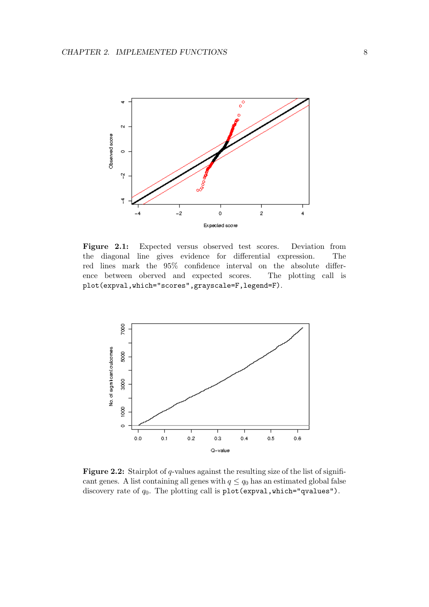<span id="page-8-0"></span>

Figure 2.1: Expected versus observed test scores. Deviation from the diagonal line gives evidence for differential expression. The red lines mark the 95% confidence interval on the absolute difference between oberved and expected scores. The plotting call is plot(expval,which="scores",grayscale=F,legend=F).

<span id="page-8-1"></span>

Figure 2.2: Stairplot of q-values against the resulting size of the list of significant genes. A list containing all genes with  $q \leq q_0$  has an estimated global false discovery rate of  $q_0$ . The plotting call is plot(expval, which="qvalues").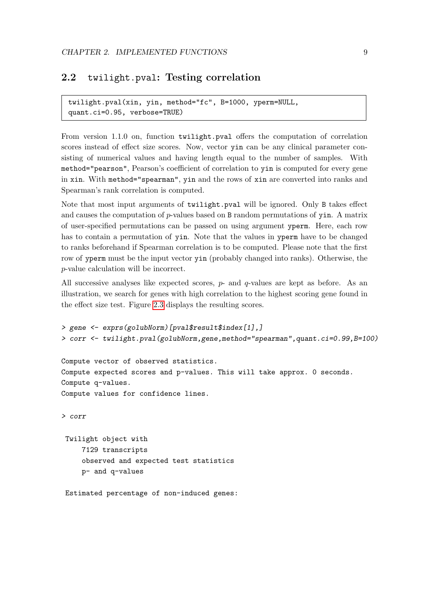### <span id="page-9-0"></span>2.2 twilight.pval: Testing correlation

twilight.pval(xin, yin, method="fc", B=1000, yperm=NULL, quant.ci=0.95, verbose=TRUE)

From version 1.1.0 on, function twilight.pval offers the computation of correlation scores instead of effect size scores. Now, vector yin can be any clinical parameter consisting of numerical values and having length equal to the number of samples. With method="pearson", Pearson's coefficient of correlation to yin is computed for every gene in xin. With method="spearman", yin and the rows of xin are converted into ranks and Spearman's rank correlation is computed.

Note that most input arguments of twilight.pval will be ignored. Only B takes effect and causes the computation of  $p$ -values based on B random permutations of yin. A matrix of user-specified permutations can be passed on using argument yperm. Here, each row has to contain a permutation of yin. Note that the values in yperm have to be changed to ranks beforehand if Spearman correlation is to be computed. Please note that the first row of yperm must be the input vector yin (probably changed into ranks). Otherwise, the p-value calculation will be incorrect.

All successive analyses like expected scores,  $p$ - and  $q$ -values are kept as before. As an illustration, we search for genes with high correlation to the highest scoring gene found in the effect size test. Figure [2.3](#page-11-0) displays the resulting scores.

```
> gene <- exprs(golubNorm)[pval$result$index[1],]
> corr <- twilight.pval(golubNorm,gene,method="spearman",quant.ci=0.99,B=100)
Compute vector of observed statistics.
Compute expected scores and p-values. This will take approx. 0 seconds.
Compute q-values.
Compute values for confidence lines.
> corr
Twilight object with
     7129 transcripts
     observed and expected test statistics
    p- and q-values
Estimated percentage of non-induced genes:
```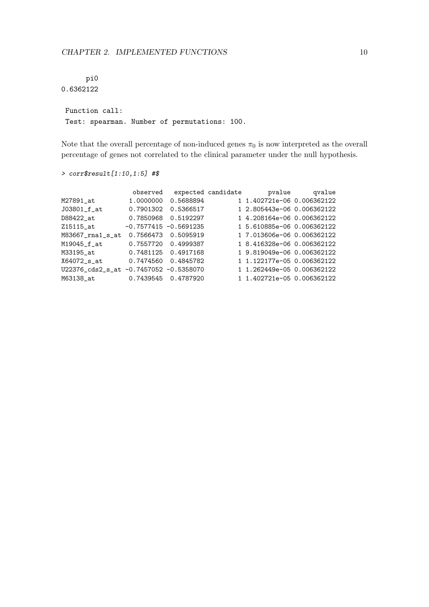pi0 0.6362122

Function call: Test: spearman. Number of permutations: 100.

Note that the overall percentage of non-induced genes  $\pi_0$  is now interpreted as the overall percentage of genes not correlated to the clinical parameter under the null hypothesis.

```
observed expected candidate by pvalue qvalue
M27891_at 1.0000000 0.5688894 1 1.402721e-06 0.006362122<br>J03801_f_at 0.7901302 0.5366517 1 2.805443e-06 0.006362122
                J03801_f_at 0.7901302 0.5366517 1 2.805443e-06 0.006362122
D88422_at 0.7850968 0.5192297 1 4.208164e-06 0.006362122
0.1000300 0.11222.<br>215115_at -0.7577415 -0.5691235 1 5.610885e-06 0.006362122<br>M83667_rna1_s_at 0.7566473 0.5095919 1 7.013606e-06 0.006362122
M83667_rna1_s_at 0.7566473 0.5095919 1 7.013606e-06 0.006362122<br>M19045_f_at 0.7557720 0.4999387 1 8.416328e-06 0.006362122
M19045_f_at 0.7557720 0.4999387 1 8.416328e-06 0.006362122
M33195_at 0.7481125 0.4917168 1 9.819049e-06 0.006362122
X64072_s_at 0.7474560 0.4845782 1 1.122177e-05 0.006362122
```
U22376\_cds2\_s\_at -0.7457052 -0.5358070 1 1.262449e-05 0.006362122 M63138\_at 0.7439545 0.4787920 1 1.402721e-05 0.006362122

> corr\$result[1:10,1:5] #\$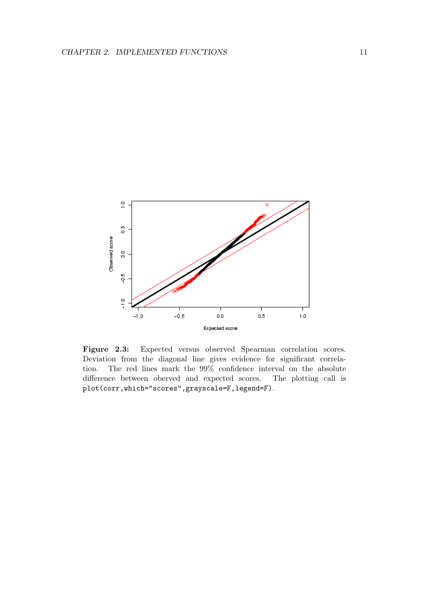<span id="page-11-0"></span>

Figure 2.3: Expected versus observed Spearman correlation scores. Deviation from the diagonal line gives evidence for significant correlation. The red lines mark the 99% confidence interval on the absolute difference between oberved and expected scores. The plotting call is plot(corr,which="scores",grayscale=F,legend=F).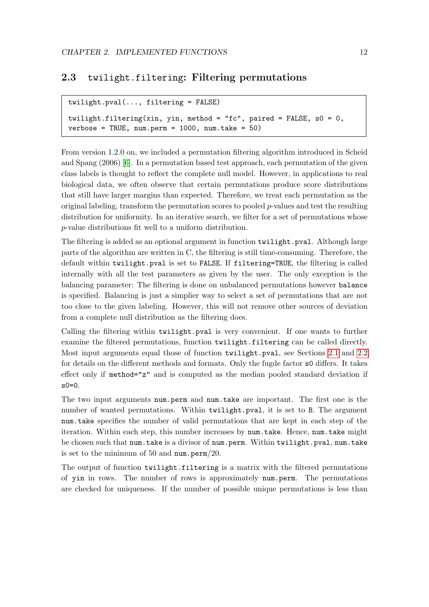### <span id="page-12-0"></span>2.3 twilight.filtering: Filtering permutations

```
twilight.pval(..., filtering = FALSE)
```

```
twilight.filtering(xin, yin, method = "fc", paired = FALSE, s0 = 0,
verbose = TRUE, num.perm = 1000, num.take = 50)
```
From version 1.2.0 on, we included a permutation filtering algorithm introduced in Scheid and Spang (2006) [\[6\]](#page-27-3). In a permutation based test approach, each permutation of the given class labels is thought to reflect the complete null model. However, in applications to real biological data, we often observe that certain permutations produce score distributions that still have larger margins than expected. Therefore, we treat each permutation as the original labeling, transform the permutation scores to pooled  $p$ -values and test the resulting distribution for uniformity. In an iterative search, we filter for a set of permutations whose p-value distributions fit well to a uniform distribution.

The filtering is added as an optional argument in function twilight.pval. Although large parts of the algorithm are written in C, the filtering is still time-consuming. Therefore, the default within twilight.pval is set to FALSE. If filtering=TRUE, the filtering is called internally with all the test parameters as given by the user. The only exception is the balancing parameter: The filtering is done on unbalanced permutations however balance is specified. Balancing is just a simplier way to select a set of permutations that are not too close to the given labeling. However, this will not remove other sources of deviation from a complete null distribution as the filtering does.

Calling the filtering within twilight.pval is very convenient. If one wants to further examine the filtered permutations, function twilight.filtering can be called directly. Most input arguments equal those of function twilight.pval, see Sections [2.1](#page-3-1) and [2.2](#page-9-0) for details on the different methods and formats. Only the fugde factor s0 differs. It takes effect only if method="z" and is computed as the median pooled standard deviation if  $s0=0$ .

The two input arguments num.perm and num.take are important. The first one is the number of wanted permutations. Within twilight.pval, it is set to B. The argument num.take specifies the number of valid permutations that are kept in each step of the iteration. Within each step, this number increases by num.take. Hence, num.take might be chosen such that num.take is a divisor of num.perm. Within twilight.pval, num.take is set to the minimum of 50 and  $num.perm/20$ .

The output of function twilight.filtering is a matrix with the filtered permutations of yin in rows. The number of rows is approximately num.perm. The permutations are checked for uniqueness. If the number of possible unique permutations is less than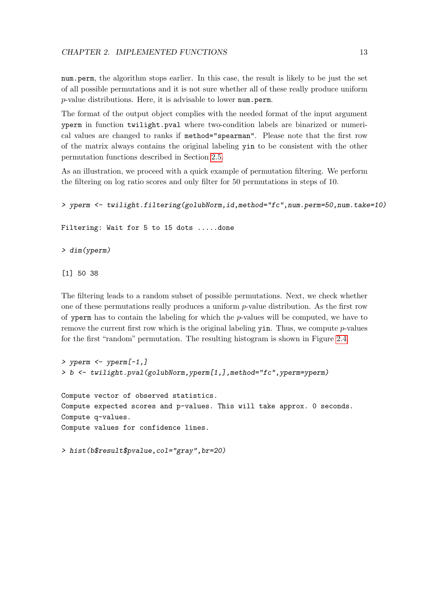num.perm, the algorithm stops earlier. In this case, the result is likely to be just the set of all possible permutations and it is not sure whether all of these really produce uniform  $p$ -value distributions. Here, it is advisable to lower num.perm.

The format of the output object complies with the needed format of the input argument yperm in function twilight.pval where two-condition labels are binarized or numerical values are changed to ranks if method="spearman". Please note that the first row of the matrix always contains the original labeling yin to be consistent with the other permutation functions described in Section [2.5.](#page-20-0)

As an illustration, we proceed with a quick example of permutation filtering. We perform the filtering on log ratio scores and only filter for 50 permutations in steps of 10.

```
> yperm <- twilight.filtering(golubNorm,id,method="fc",num.perm=50,num.take=10)
```
Filtering: Wait for 5 to 15 dots .....done

> dim(yperm)

[1] 50 38

The filtering leads to a random subset of possible permutations. Next, we check whether one of these permutations really produces a uniform p-value distribution. As the first row of yperm has to contain the labeling for which the  $p$ -values will be computed, we have to remove the current first row which is the original labeling  $\gamma$  in. Thus, we compute p-values for the first "random" permutation. The resulting histogram is shown in Figure [2.4.](#page-14-0)

```
> yperm <- yperm[-1, ]> b <- twilight.pval(golubNorm,yperm[1,],method="fc",yperm=yperm)
Compute vector of observed statistics.
Compute expected scores and p-values. This will take approx. 0 seconds.
Compute q-values.
Compute values for confidence lines.
```

```
> hist(b$result$pvalue,col="gray",br=20)
```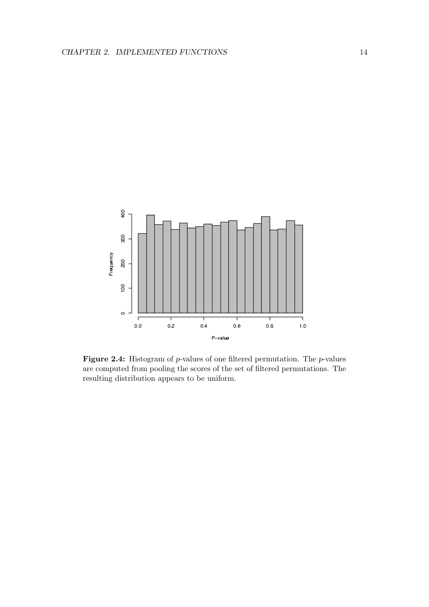<span id="page-14-0"></span>

Figure 2.4: Histogram of  $p$ -values of one filtered permutation. The  $p$ -values are computed from pooling the scores of the set of filtered permutations. The resulting distribution appears to be uniform.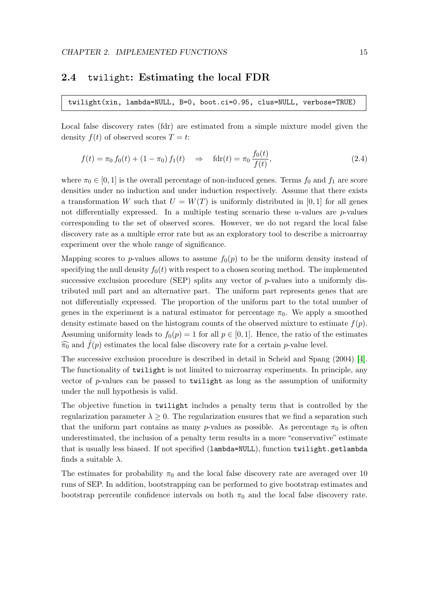### <span id="page-15-0"></span>2.4 twilight: Estimating the local FDR

twilight(xin, lambda=NULL, B=0, boot.ci=0.95, clus=NULL, verbose=TRUE)

Local false discovery rates (fdr) are estimated from a simple mixture model given the density  $f(t)$  of observed scores  $T = t$ :

$$
f(t) = \pi_0 f_0(t) + (1 - \pi_0) f_1(t) \quad \Rightarrow \quad \text{fdr}(t) = \pi_0 \frac{f_0(t)}{f(t)},
$$
\n(2.4)

where  $\pi_0 \in [0, 1]$  is the overall percentage of non-induced genes. Terms  $f_0$  and  $f_1$  are score densities under no induction and under induction respectively. Assume that there exists a transformation W such that  $U = W(T)$  is uniformly distributed in [0, 1] for all genes not differentially expressed. In a multiple testing scenario these  $u$ -values are  $p$ -values corresponding to the set of observed scores. However, we do not regard the local false discovery rate as a multiple error rate but as an exploratory tool to describe a microarray experiment over the whole range of significance.

Mapping scores to p-values allows to assume  $f_0(p)$  to be the uniform density instead of specifying the null density  $f_0(t)$  with respect to a chosen scoring method. The implemented successive exclusion procedure (SEP) splits any vector of  $p$ -values into a uniformly distributed null part and an alternative part. The uniform part represents genes that are not differentially expressed. The proportion of the uniform part to the total number of genes in the experiment is a natural estimator for percentage  $\pi_0$ . We apply a smoothed density estimate based on the histogram counts of the observed mixture to estimate  $f(p)$ . Assuming uniformity leads to  $f_0(p) = 1$  for all  $p \in [0, 1]$ . Hence, the ratio of the estimates  $\widehat{\pi_0}$  and  $\widehat{f}(p)$  estimates the local false discovery rate for a certain p-value level.

The successive exclusion procedure is described in detail in Scheid and Spang (2004) [\[4\]](#page-27-1). The functionality of twilight is not limited to microarray experiments. In principle, any vector of p-values can be passed to twilight as long as the assumption of uniformity under the null hypothesis is valid.

The objective function in twilight includes a penalty term that is controlled by the regularization parameter  $\lambda \geq 0$ . The regularization ensures that we find a separation such that the uniform part contains as many p-values as possible. As percentage  $\pi_0$  is often underestimated, the inclusion of a penalty term results in a more "conservative" estimate that is usually less biased. If not specified (lambda=NULL), function twilight.getlambda finds a suitable  $\lambda$ .

The estimates for probability  $\pi_0$  and the local false discovery rate are averaged over 10 runs of SEP. In addition, bootstrapping can be performed to give bootstrap estimates and bootstrap percentile confidence intervals on both  $\pi_0$  and the local false discovery rate.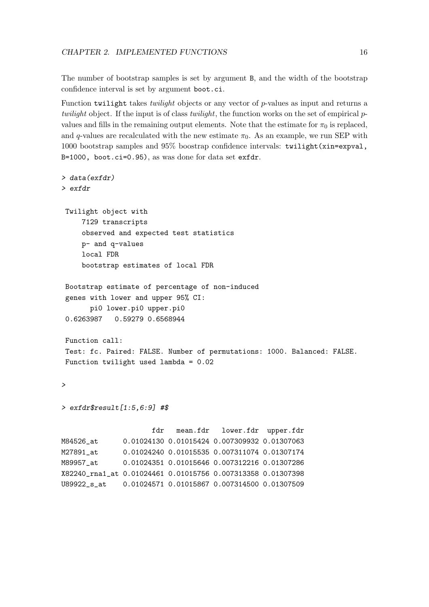The number of bootstrap samples is set by argument B, and the width of the bootstrap confidence interval is set by argument boot.ci.

Function twilight takes *twilight* objects or any vector of p-values as input and returns a twilight object. If the input is of class twilight, the function works on the set of empirical  $p$ values and fills in the remaining output elements. Note that the estimate for  $\pi_0$  is replaced, and q-values are recalculated with the new estimate  $\pi_0$ . As an example, we run SEP with 1000 bootstrap samples and 95% boostrap confidence intervals: twilight(xin=expval, B=1000, boot.ci=0.95), as was done for data set exfdr.

```
> data(exfdr)
> exfdr
 Twilight object with
     7129 transcripts
     observed and expected test statistics
    p- and q-values
    local FDR
    bootstrap estimates of local FDR
 Bootstrap estimate of percentage of non-induced
 genes with lower and upper 95% CI:
      pi0 lower.pi0 upper.pi0
 0.6263987 0.59279 0.6568944
Function call:
 Test: fc. Paired: FALSE. Number of permutations: 1000. Balanced: FALSE.
Function twilight used lambda = 0.02
>
> exfdr$result[1:5,6:9] #$
                     fdr mean.fdr lower.fdr upper.fdr
M84526_at 0.01024130 0.01015424 0.007309932 0.01307063
M27891_at 0.01024240 0.01015535 0.007311074 0.01307174
M89957_at 0.01024351 0.01015646 0.007312216 0.01307286
X82240_rna1_at 0.01024461 0.01015756 0.007313358 0.01307398
U89922_s_at 0.01024571 0.01015867 0.007314500 0.01307509
```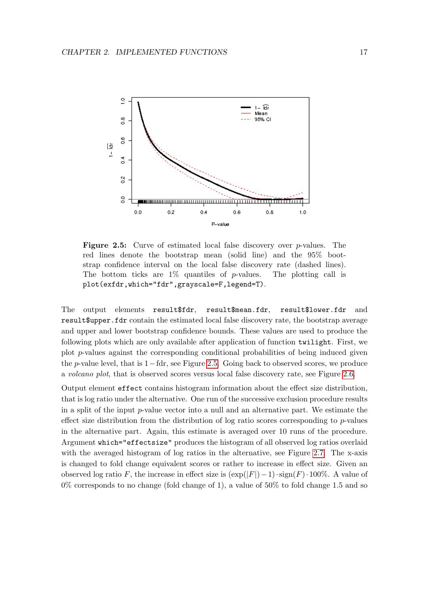<span id="page-17-0"></span>

Figure 2.5: Curve of estimated local false discovery over p-values. The red lines denote the bootstrap mean (solid line) and the 95% bootstrap confidence interval on the local false discovery rate (dashed lines). The bottom ticks are  $1\%$  quantiles of p-values. The plotting call is plot(exfdr,which="fdr",grayscale=F,legend=T).

The output elements result\$fdr, result\$mean.fdr, result\$lower.fdr and result\$upper.fdr contain the estimated local false discovery rate, the bootstrap average and upper and lower bootstrap confidence bounds. These values are used to produce the following plots which are only available after application of function twilight. First, we plot p-values against the corresponding conditional probabilities of being induced given the p-value level, that is 1−fdr, see Figure [2.5.](#page-17-0) Going back to observed scores, we produce a volcano plot, that is observed scores versus local false discovery rate, see Figure [2.6.](#page-18-0)

Output element effect contains histogram information about the effect size distribution, that is log ratio under the alternative. One run of the successive exclusion procedure results in a split of the input  $p$ -value vector into a null and an alternative part. We estimate the effect size distribution from the distribution of log ratio scores corresponding to  $p$ -values in the alternative part. Again, this estimate is averaged over 10 runs of the procedure. Argument which="effectsize" produces the histogram of all observed log ratios overlaid with the averaged histogram of log ratios in the alternative, see Figure [2.7.](#page-19-0) The x-axis is changed to fold change equivalent scores or rather to increase in effect size. Given an observed log ratio F, the increase in effect size is  $(\exp(|F|)-1) \cdot \text{sign}(F) \cdot 100\%$ . A value of  $0\%$  corresponds to no change (fold change of 1), a value of 50% to fold change 1.5 and so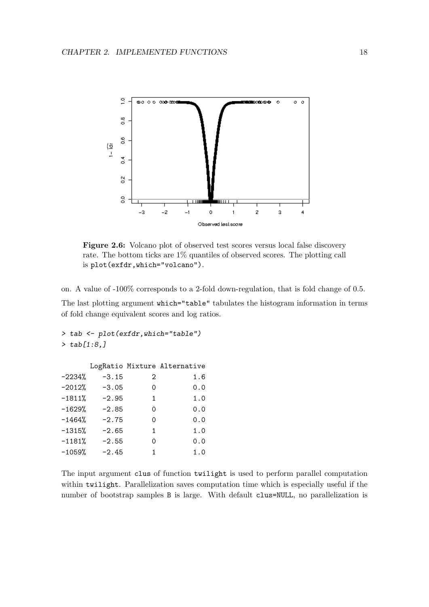<span id="page-18-0"></span>

Figure 2.6: Volcano plot of observed test scores versus local false discovery rate. The bottom ticks are 1% quantiles of observed scores. The plotting call is plot(exfdr,which="volcano").

on. A value of -100% corresponds to a 2-fold down-regulation, that is fold change of 0.5.

The last plotting argument which="table" tabulates the histogram information in terms of fold change equivalent scores and log ratios.

```
> tab <- plot(exfdr,which="table")
> tab[1:8,]
```

|          |         |   | LogRatio Mixture Alternative |
|----------|---------|---|------------------------------|
| $-2234%$ | $-3.15$ | 2 | 1.6                          |
| $-2012%$ | $-3.05$ | Ω | 0.0                          |
| $-1811%$ | $-2.95$ | 1 | 1.0                          |
| $-1629%$ | $-2.85$ | Ω | 0.0                          |
| $-1464%$ | $-2.75$ | 0 | 0.0                          |
| $-1315%$ | $-2.65$ | 1 | 1.0                          |
| $-1181%$ | $-2.55$ | Ω | 0.0                          |
| $-1059%$ | $-2.45$ | 1 | 1.0                          |
|          |         |   |                              |

The input argument clus of function twilight is used to perform parallel computation within twilight. Parallelization saves computation time which is especially useful if the number of bootstrap samples B is large. With default clus=NULL, no parallelization is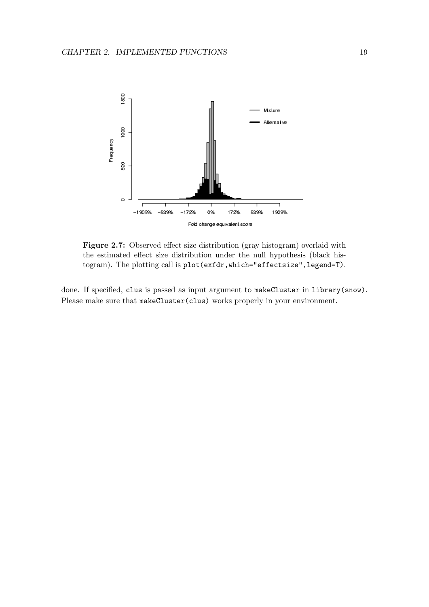<span id="page-19-0"></span>

Figure 2.7: Observed effect size distribution (gray histogram) overlaid with the estimated effect size distribution under the null hypothesis (black histogram). The plotting call is plot(exfdr,which="effectsize",legend=T).

done. If specified, clus is passed as input argument to makeCluster in library(snow). Please make sure that  $\texttt{makeCluster}(\texttt{clus})$  works properly in your environment.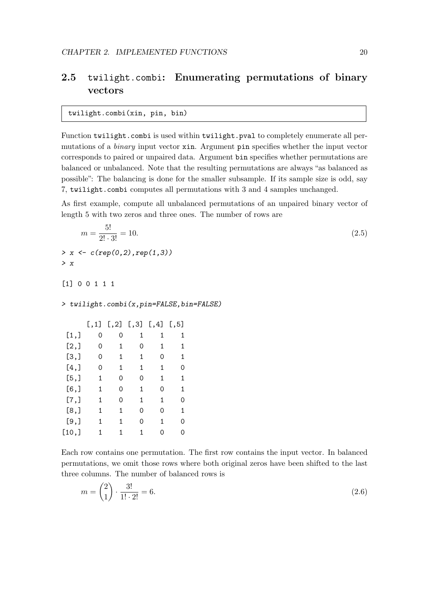### <span id="page-20-0"></span>2.5 twilight.combi: Enumerating permutations of binary vectors

twilight.combi(xin, pin, bin)

Function twilight.combi is used within twilight.pval to completely enumerate all permutations of a binary input vector xin. Argument pin specifies whether the input vector corresponds to paired or unpaired data. Argument bin specifies whether permutations are balanced or unbalanced. Note that the resulting permutations are always "as balanced as possible": The balancing is done for the smaller subsample. If its sample size is odd, say 7, twilight.combi computes all permutations with 3 and 4 samples unchanged.

As first example, compute all unbalanced permutations of an unpaired binary vector of length 5 with two zeros and three ones. The number of rows are

$$
m = \frac{5!}{2! \cdot 3!} = 10.
$$
\n  
\n> x < - c (rep(0, 2), rep(1, 3))  
\n> x (2.5)  
\n(2.5)

[1] 0 0 1 1 1

> twilight.combi(x,pin=FALSE,bin=FALSE)

|         | [,1] | [, 2] | [,3] | [,4] | [, 5] |
|---------|------|-------|------|------|-------|
| [1,]    | 0    | Ω     | 1    | 1    | 1     |
| [2,]    | 0    | 1     | Ω    | 1    | 1     |
| [3,]    | Ω    | 1     | 1    | Ω    | 1     |
| [4,]    | Ω    | 1     | 1    | 1    | Ω     |
| [5,]    | 1    | 0     | Ω    | 1    | 1     |
| [6,]    | 1    | Ω     | 1    | 0    | 1     |
| [7,]    | 1    | Ω     | 1    | 1    | Ω     |
| [8,]    | 1    | 1     | Ω    | Ω    | 1     |
| $[9,$ ] | 1    | 1     | Ω    | 1    | Ω     |
| [10,]   | 1    | 1     | 1    | ∩    |       |
|         |      |       |      |      |       |

Each row contains one permutation. The first row contains the input vector. In balanced permutations, we omit those rows where both original zeros have been shifted to the last three columns. The number of balanced rows is

$$
m = \binom{2}{1} \cdot \frac{3!}{1! \cdot 2!} = 6. \tag{2.6}
$$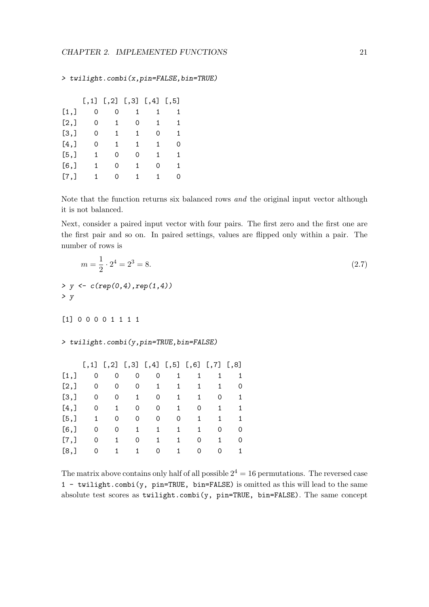> twilight.combi(x,pin=FALSE,bin=TRUE)

|         |   |    | $[, 1]$ $[, 2]$ $[, 3]$ $[, 4]$ |   | [, 5] |
|---------|---|----|---------------------------------|---|-------|
| [1,]    | 0 | 0  | 1                               | 1 | 1     |
| [2,]    | 0 | 1  | Ω                               | 1 | 1     |
| [3,]    | 0 | 1  | 1                               | Ω | 1     |
| $[4,$ ] | 0 | 1. | 1                               | 1 | Ω     |
| [5,]    | 1 | 0  | Ω                               | 1 | 1     |
| $[6,$ ] | 1 | 0  | 1                               | Ω | 1     |
| [7,]    | 1 | 0  | 1                               | 1 | Ω     |

Note that the function returns six balanced rows and the original input vector although it is not balanced.

Next, consider a paired input vector with four pairs. The first zero and the first one are the first pair and so on. In paired settings, values are flipped only within a pair. The number of rows is

|                                               | $m=\frac{1}{2}\cdot 2^4=2^3=8.$        |              |                                                  |              |              |                                        |              |                                        |  |  |  |
|-----------------------------------------------|----------------------------------------|--------------|--------------------------------------------------|--------------|--------------|----------------------------------------|--------------|----------------------------------------|--|--|--|
| > $y \leftarrow c(rep(0,4), rep(1,4))$<br>> y |                                        |              |                                                  |              |              |                                        |              |                                        |  |  |  |
| [1] 0 0 0 0 1 1 1 1                           |                                        |              |                                                  |              |              |                                        |              |                                        |  |  |  |
|                                               | > twilight.combi(y,pin=TRUE,bin=FALSE) |              |                                                  |              |              |                                        |              |                                        |  |  |  |
|                                               |                                        |              | $[,1]$ $[,2]$ $[,3]$ $[,4]$ $[,5]$ $[,6]$ $[,7]$ |              |              |                                        |              | [,8]                                   |  |  |  |
| [1,]                                          | 0                                      | 0            | 0                                                | 0            | $\mathbf{1}$ | 1                                      | 1            | 1                                      |  |  |  |
| [2,]                                          | $0\qquad 0$                            |              |                                                  | $0\qquad 1$  |              | $1 \quad 1$                            |              | $1 \quad \blacksquare$<br>$\circ$      |  |  |  |
| [3,]                                          |                                        | $0\qquad 0$  |                                                  | $1 \t 0$     |              | $1 \qquad \quad 1$                     | $\mathbf 0$  | $\mathbf{1}$                           |  |  |  |
| [4,]                                          |                                        | $0\qquad 1$  |                                                  | $0\qquad 0$  |              | $1 \qquad 0$                           |              | $1 \quad \blacksquare$<br>$\mathbf{1}$ |  |  |  |
| [5,]                                          |                                        | $1 \qquad 0$ |                                                  | $0\qquad 0$  | $\mathsf{O}$ | $\mathbf{1}$                           | 1            | $\mathbf{1}$                           |  |  |  |
| [6,                                           | 0                                      | $\mathbf 0$  |                                                  | $1 \quad 1$  |              | $1 \quad \blacksquare$<br>$\mathbf{1}$ | $\mathbf 0$  | $\circ$                                |  |  |  |
| [7,]                                          | 0                                      | $\mathbf{1}$ | $\mathsf{O}$                                     | $\mathbf{1}$ | 1            | $\mathsf{O}\xspace$                    | $\mathbf{1}$ | $\circ$                                |  |  |  |
|                                               |                                        | $\mathbf{1}$ |                                                  |              | $\mathbf{1}$ |                                        |              |                                        |  |  |  |

The matrix above contains only half of all possible  $2^4 = 16$  permutations. The reversed case 1 - twilight.combi(y, pin=TRUE, bin=FALSE) is omitted as this will lead to the same absolute test scores as twilight.combi(y, pin=TRUE, bin=FALSE). The same concept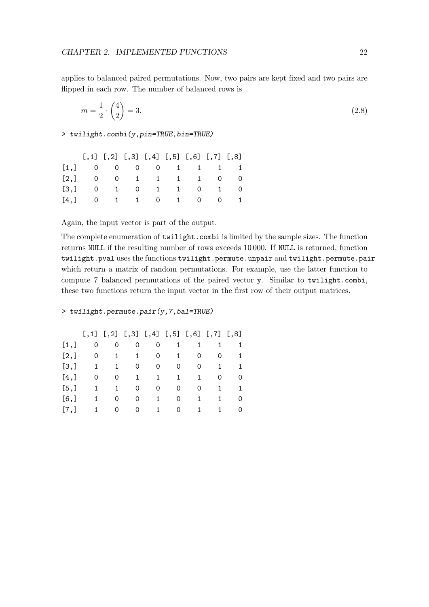applies to balanced paired permutations. Now, two pairs are kept fixed and two pairs are flipped in each row. The number of balanced rows is

$$
m = \frac{1}{2} \cdot \binom{4}{2} = 3. \tag{2.8}
$$

> twilight.combi(y,pin=TRUE,bin=TRUE)

| $[$ ,1] $[$ ,2] $[$ ,3] $[$ ,4] $[$ ,5] $[$ ,6] $[$ ,7] $[$ ,8] |  |  |  |  |
|-----------------------------------------------------------------|--|--|--|--|
| [1,] 0 0 0 0 1 1 1 1                                            |  |  |  |  |
| [2,] 0 0 1 1 1 1 0 0                                            |  |  |  |  |
| [3,] 0 1 0 1 1 0 1 0                                            |  |  |  |  |
| [4,] 0 1 1 0 1 0 0 1                                            |  |  |  |  |

Again, the input vector is part of the output.

The complete enumeration of twilight.combi is limited by the sample sizes. The function returns NULL if the resulting number of rows exceeds 10 000. If NULL is returned, function twilight.pval uses the functions twilight.permute.unpair and twilight.permute.pair which return a matrix of random permutations. For example, use the latter function to compute 7 balanced permutations of the paired vector y. Similar to twilight.combi, these two functions return the input vector in the first row of their output matrices.

#### > twilight.permute.pair(y,7,bal=TRUE)

|        |    | $[,1]$ $[,2]$ $[,3]$ $[,4]$ $[,5]$ $[,6]$ $[,7]$ $[,8]$ |              |           |          |    |    |   |
|--------|----|---------------------------------------------------------|--------------|-----------|----------|----|----|---|
| [1,]   | 0  | 0                                                       | 0            | 0         | 1        |    | 1. | 1 |
| [2,]   | 0  | $\mathbf{1}$                                            | $\mathbf{1}$ | 0         | 1        | 0  | 0  | 1 |
| [3,]   | 1. | $\mathbf{1}$                                            | 0            | 0         | 0        | 0  | 1. | 1 |
| [4,]   | 0  | 0                                                       | 1            | 1         | 1        | 1  | 0. | 0 |
| [5,]   | 1  | $\mathbf{1}$                                            | 0            | 0         | 0        | 0  | 1. | 1 |
| [6, 1] | 1. | 0                                                       | 0            | $1 \quad$ | 0        | 1. | 1. | 0 |
| [7,]   | 1  | 0                                                       | 0            | 1.        | $\Omega$ | 1. | 1. | 0 |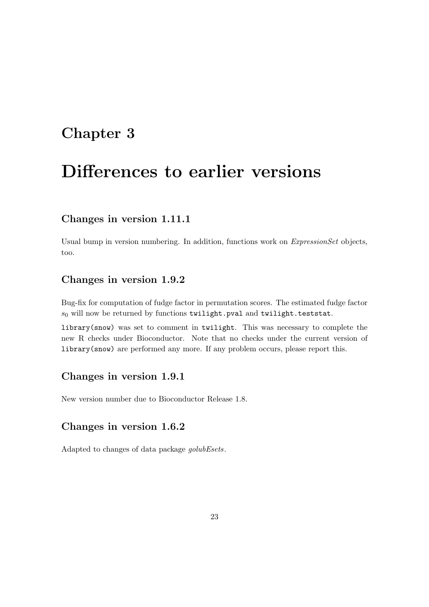### <span id="page-23-0"></span>Chapter 3

# Differences to earlier versions

### Changes in version 1.11.1

Usual bump in version numbering. In addition, functions work on *ExpressionSet* objects, too.

### Changes in version 1.9.2

Bug-fix for computation of fudge factor in permutation scores. The estimated fudge factor  $s_0$  will now be returned by functions twilight.pval and twilight.teststat.

library(snow) was set to comment in twilight. This was necessary to complete the new R checks under Bioconductor. Note that no checks under the current version of library(snow) are performed any more. If any problem occurs, please report this.

### Changes in version 1.9.1

New version number due to Bioconductor Release 1.8.

### Changes in version 1.6.2

Adapted to changes of data package golubEsets.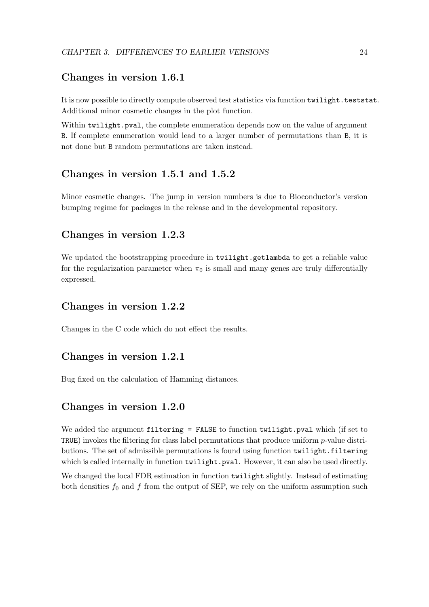### Changes in version 1.6.1

It is now possible to directly compute observed test statistics via function twilight.teststat. Additional minor cosmetic changes in the plot function.

Within twilight.pval, the complete enumeration depends now on the value of argument B. If complete enumeration would lead to a larger number of permutations than B, it is not done but B random permutations are taken instead.

### Changes in version 1.5.1 and 1.5.2

Minor cosmetic changes. The jump in version numbers is due to Bioconductor's version bumping regime for packages in the release and in the developmental repository.

### Changes in version 1.2.3

We updated the bootstrapping procedure in twilight.getlambda to get a reliable value for the regularization parameter when  $\pi_0$  is small and many genes are truly differentially expressed.

#### Changes in version 1.2.2

Changes in the C code which do not effect the results.

#### Changes in version 1.2.1

Bug fixed on the calculation of Hamming distances.

### Changes in version 1.2.0

We added the argument filtering = FALSE to function twilight.pval which (if set to TRUE) invokes the filtering for class label permutations that produce uniform p-value distributions. The set of admissible permutations is found using function twilight.filtering which is called internally in function twilight.pval. However, it can also be used directly.

We changed the local FDR estimation in function twilight slightly. Instead of estimating both densities  $f_0$  and f from the output of SEP, we rely on the uniform assumption such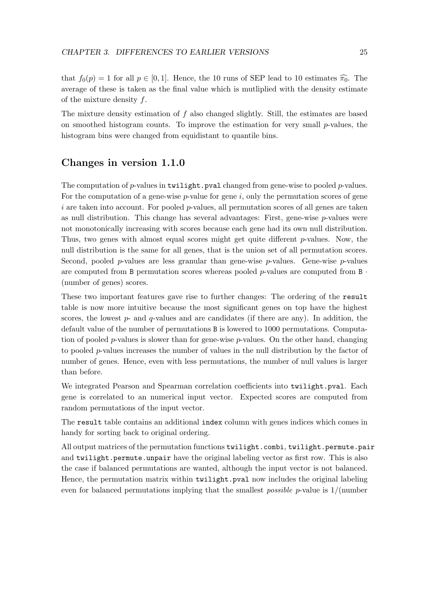that  $f_0(p) = 1$  for all  $p \in [0, 1]$ . Hence, the 10 runs of SEP lead to 10 estimates  $\widehat{\pi_0}$ . The average of these is taken as the final value which is mutliplied with the density estimate of the mixture density f.

The mixture density estimation of  $f$  also changed slightly. Still, the estimates are based on smoothed histogram counts. To improve the estimation for very small  $p$ -values, the histogram bins were changed from equidistant to quantile bins.

### Changes in version 1.1.0

The computation of p-values in twilight.pval changed from gene-wise to pooled p-values. For the computation of a gene-wise  $p$ -value for gene i, only the permutation scores of gene i are taken into account. For pooled  $p$ -values, all permutation scores of all genes are taken as null distribution. This change has several advantages: First, gene-wise  $p$ -values were not monotonically increasing with scores because each gene had its own null distribution. Thus, two genes with almost equal scores might get quite different p-values. Now, the null distribution is the same for all genes, that is the union set of all permutation scores. Second, pooled p-values are less granular than gene-wise p-values. Gene-wise p-values are computed from B permutation scores whereas pooled  $p$ -values are computed from B  $\cdot$ (number of genes) scores.

These two important features gave rise to further changes: The ordering of the result table is now more intuitive because the most significant genes on top have the highest scores, the lowest  $p$ - and  $q$ -values and are candidates (if there are any). In addition, the default value of the number of permutations B is lowered to 1000 permutations. Computation of pooled p-values is slower than for gene-wise p-values. On the other hand, changing to pooled p-values increases the number of values in the null distribution by the factor of number of genes. Hence, even with less permutations, the number of null values is larger than before.

We integrated Pearson and Spearman correlation coefficients into twilight.pval. Each gene is correlated to an numerical input vector. Expected scores are computed from random permutations of the input vector.

The result table contains an additional index column with genes indices which comes in handy for sorting back to original ordering.

All output matrices of the permutation functions twilight.combi, twilight.permute.pair and twilight.permute.unpair have the original labeling vector as first row. This is also the case if balanced permutations are wanted, although the input vector is not balanced. Hence, the permutation matrix within **twilight**.pval now includes the original labeling even for balanced permutations implying that the smallest *possible p*-value is  $1/(number)$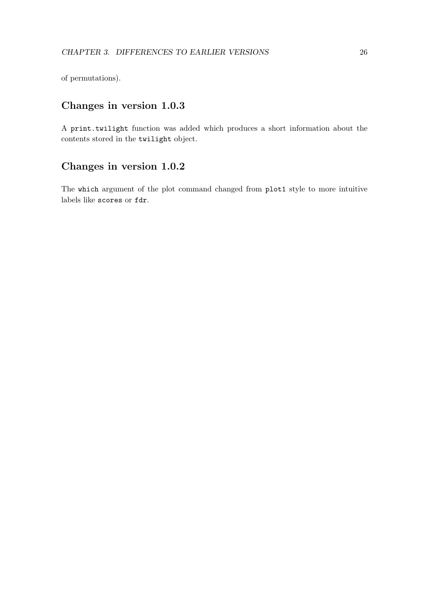of permutations).

### Changes in version 1.0.3

A print.twilight function was added which produces a short information about the contents stored in the twilight object.

### Changes in version 1.0.2

The which argument of the plot command changed from plot1 style to more intuitive labels like scores or fdr.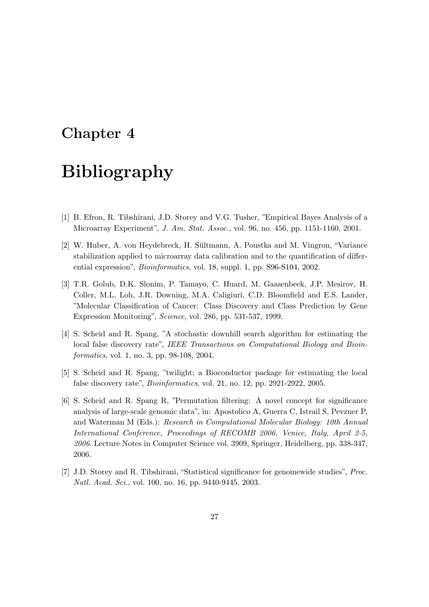### <span id="page-27-0"></span>Chapter 4

# Bibliography

- <span id="page-27-4"></span>[1] B. Efron, R. Tibshirani, J.D. Storey and V.G. Tusher, "Empirical Bayes Analysis of a Microarray Experiment", J. Am. Stat. Assoc., vol. 96, no. 456, pp. 1151-1160, 2001.
- <span id="page-27-6"></span>[2] W. Huber, A. von Heydebreck, H. Sültmann, A. Poustka and M. Vingron, "Variance stabilization applied to microarray data calibration and to the quantification of differential expression", Bioinformatics, vol. 18, suppl. 1, pp. S96-S104, 2002.
- <span id="page-27-5"></span>[3] T.R. Golub, D.K. Slonim, P. Tamayo, C. Huard, M. Gaasenbeek, J.P. Mesirov, H. Coller, M.L. Loh, J.R. Downing, M.A. Caligiuri, C.D. Bloomfield and E.S. Lander, "Molecular Classification of Cancer: Class Discovery and Class Prediction by Gene Expression Monitoring", Science, vol. 286, pp. 531-537, 1999.
- <span id="page-27-1"></span>[4] S. Scheid and R. Spang, "A stochastic downhill search algorithm for estimating the local false discovery rate", IEEE Transactions on Computational Biology and Bioinformatics, vol. 1, no. 3, pp. 98-108, 2004.
- <span id="page-27-2"></span>[5] S. Scheid and R. Spang, "twilight; a Bioconductor package for estimating the local false discovery rate", Bioinformatics, vol. 21, no. 12, pp. 2921-2922, 2005.
- <span id="page-27-3"></span>[6] S. Scheid and R. Spang R, "Permutation filtering: A novel concept for significance analysis of large-scale genomic data", in: Apostolico A, Guerra C, Istrail S, Pevzner P, and Waterman M (Eds.): Research in Computational Molecular Biology: 10th Annual International Conference, Proceedings of RECOMB 2006, Venice, Italy, April 2-5, 2006. Lecture Notes in Computer Science vol. 3909, Springer, Heidelberg, pp. 338-347, 2006.
- <span id="page-27-7"></span>[7] J.D. Storey and R. Tibshirani, "Statistical significance for genomewide studies", Proc. Natl. Acad. Sci., vol. 100, no. 16, pp. 9440-9445, 2003.